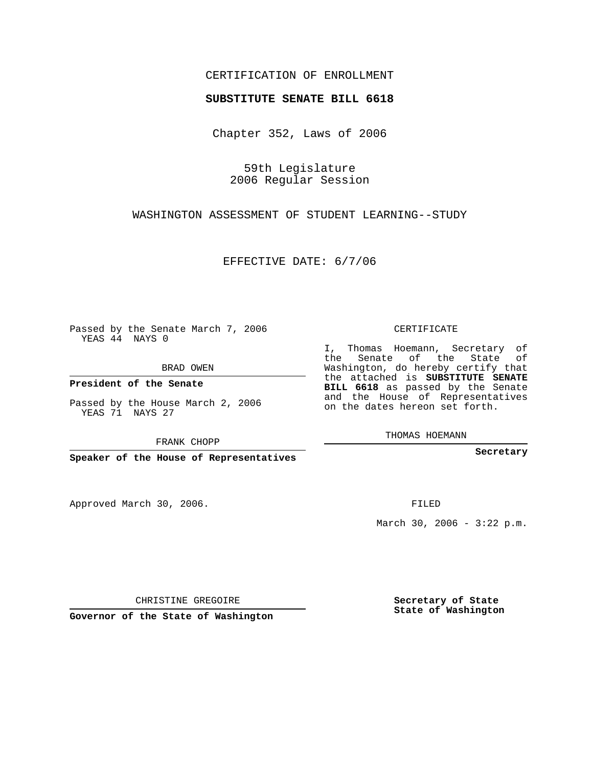## CERTIFICATION OF ENROLLMENT

## **SUBSTITUTE SENATE BILL 6618**

Chapter 352, Laws of 2006

59th Legislature 2006 Regular Session

WASHINGTON ASSESSMENT OF STUDENT LEARNING--STUDY

EFFECTIVE DATE: 6/7/06

Passed by the Senate March 7, 2006 YEAS 44 NAYS 0

BRAD OWEN

**President of the Senate**

Passed by the House March 2, 2006 YEAS 71 NAYS 27

FRANK CHOPP

**Speaker of the House of Representatives**

Approved March 30, 2006.

CERTIFICATE

I, Thomas Hoemann, Secretary of the Senate of the State of Washington, do hereby certify that the attached is **SUBSTITUTE SENATE BILL 6618** as passed by the Senate and the House of Representatives on the dates hereon set forth.

THOMAS HOEMANN

**Secretary**

FILED

March 30, 2006 -  $3:22$  p.m.

CHRISTINE GREGOIRE

**Governor of the State of Washington**

**Secretary of State State of Washington**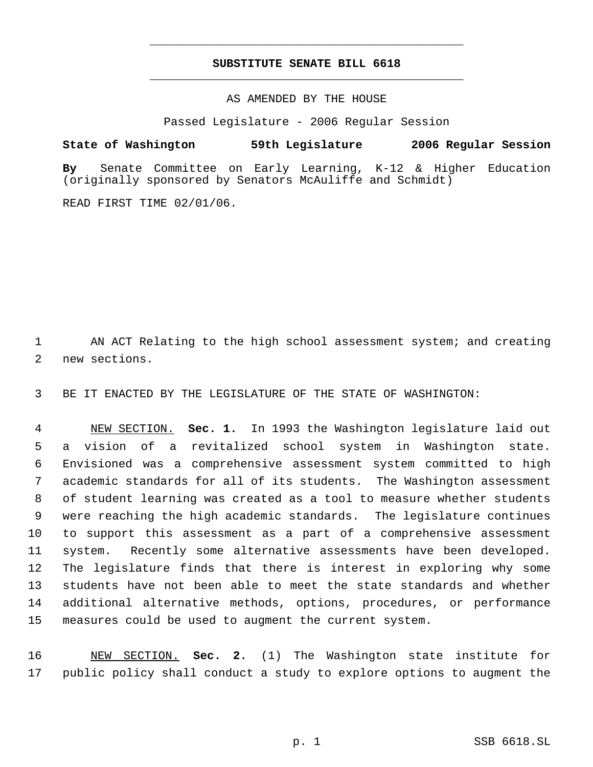## **SUBSTITUTE SENATE BILL 6618** \_\_\_\_\_\_\_\_\_\_\_\_\_\_\_\_\_\_\_\_\_\_\_\_\_\_\_\_\_\_\_\_\_\_\_\_\_\_\_\_\_\_\_\_\_

\_\_\_\_\_\_\_\_\_\_\_\_\_\_\_\_\_\_\_\_\_\_\_\_\_\_\_\_\_\_\_\_\_\_\_\_\_\_\_\_\_\_\_\_\_

AS AMENDED BY THE HOUSE

Passed Legislature - 2006 Regular Session

**State of Washington 59th Legislature 2006 Regular Session By** Senate Committee on Early Learning, K-12 & Higher Education

READ FIRST TIME 02/01/06.

1 AN ACT Relating to the high school assessment system; and creating 2 new sections.

3 BE IT ENACTED BY THE LEGISLATURE OF THE STATE OF WASHINGTON:

(originally sponsored by Senators McAuliffe and Schmidt)

 NEW SECTION. **Sec. 1.** In 1993 the Washington legislature laid out a vision of a revitalized school system in Washington state. Envisioned was a comprehensive assessment system committed to high academic standards for all of its students. The Washington assessment of student learning was created as a tool to measure whether students were reaching the high academic standards. The legislature continues to support this assessment as a part of a comprehensive assessment system. Recently some alternative assessments have been developed. The legislature finds that there is interest in exploring why some students have not been able to meet the state standards and whether additional alternative methods, options, procedures, or performance measures could be used to augment the current system.

16 NEW SECTION. **Sec. 2.** (1) The Washington state institute for 17 public policy shall conduct a study to explore options to augment the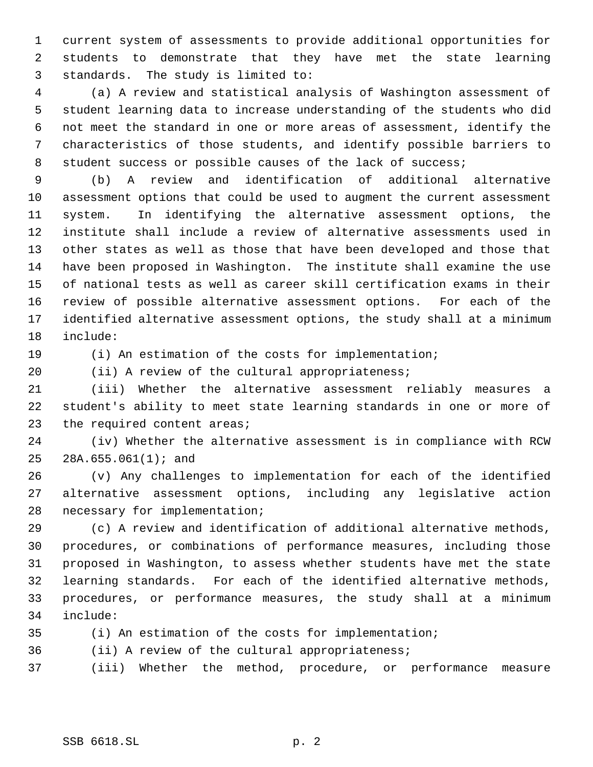current system of assessments to provide additional opportunities for students to demonstrate that they have met the state learning standards. The study is limited to:

 (a) A review and statistical analysis of Washington assessment of student learning data to increase understanding of the students who did not meet the standard in one or more areas of assessment, identify the characteristics of those students, and identify possible barriers to 8 student success or possible causes of the lack of success;

 (b) A review and identification of additional alternative assessment options that could be used to augment the current assessment system. In identifying the alternative assessment options, the institute shall include a review of alternative assessments used in other states as well as those that have been developed and those that have been proposed in Washington. The institute shall examine the use of national tests as well as career skill certification exams in their review of possible alternative assessment options. For each of the identified alternative assessment options, the study shall at a minimum include:

(i) An estimation of the costs for implementation;

20 (ii) A review of the cultural appropriateness;

 (iii) Whether the alternative assessment reliably measures a student's ability to meet state learning standards in one or more of 23 the required content areas;

 (iv) Whether the alternative assessment is in compliance with RCW 28A.655.061(1); and

 (v) Any challenges to implementation for each of the identified alternative assessment options, including any legislative action necessary for implementation;

 (c) A review and identification of additional alternative methods, procedures, or combinations of performance measures, including those proposed in Washington, to assess whether students have met the state learning standards. For each of the identified alternative methods, procedures, or performance measures, the study shall at a minimum include:

(i) An estimation of the costs for implementation;

(ii) A review of the cultural appropriateness;

(iii) Whether the method, procedure, or performance measure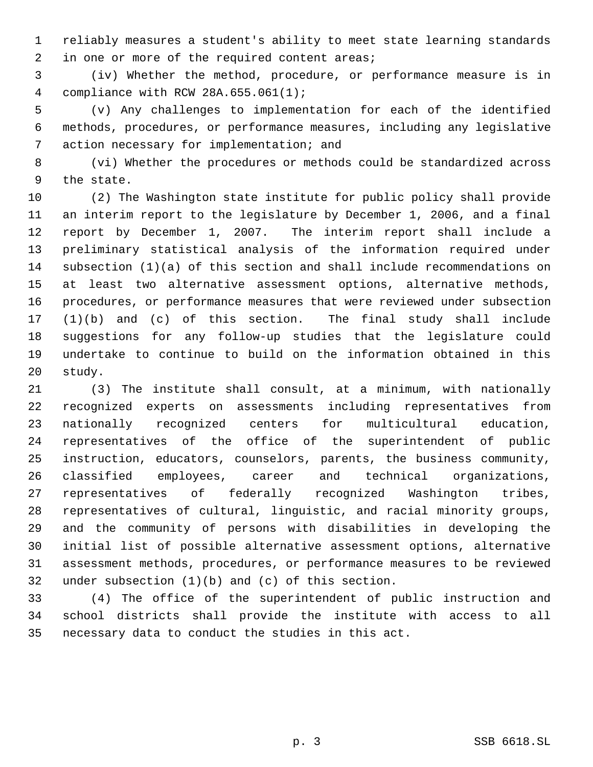reliably measures a student's ability to meet state learning standards 2 in one or more of the required content areas;

 (iv) Whether the method, procedure, or performance measure is in compliance with RCW 28A.655.061(1);

 (v) Any challenges to implementation for each of the identified methods, procedures, or performance measures, including any legislative action necessary for implementation; and

 (vi) Whether the procedures or methods could be standardized across the state.

 (2) The Washington state institute for public policy shall provide an interim report to the legislature by December 1, 2006, and a final report by December 1, 2007. The interim report shall include a preliminary statistical analysis of the information required under subsection (1)(a) of this section and shall include recommendations on at least two alternative assessment options, alternative methods, procedures, or performance measures that were reviewed under subsection (1)(b) and (c) of this section. The final study shall include suggestions for any follow-up studies that the legislature could undertake to continue to build on the information obtained in this study.

 (3) The institute shall consult, at a minimum, with nationally recognized experts on assessments including representatives from nationally recognized centers for multicultural education, representatives of the office of the superintendent of public instruction, educators, counselors, parents, the business community, classified employees, career and technical organizations, representatives of federally recognized Washington tribes, representatives of cultural, linguistic, and racial minority groups, and the community of persons with disabilities in developing the initial list of possible alternative assessment options, alternative assessment methods, procedures, or performance measures to be reviewed under subsection (1)(b) and (c) of this section.

 (4) The office of the superintendent of public instruction and school districts shall provide the institute with access to all necessary data to conduct the studies in this act.